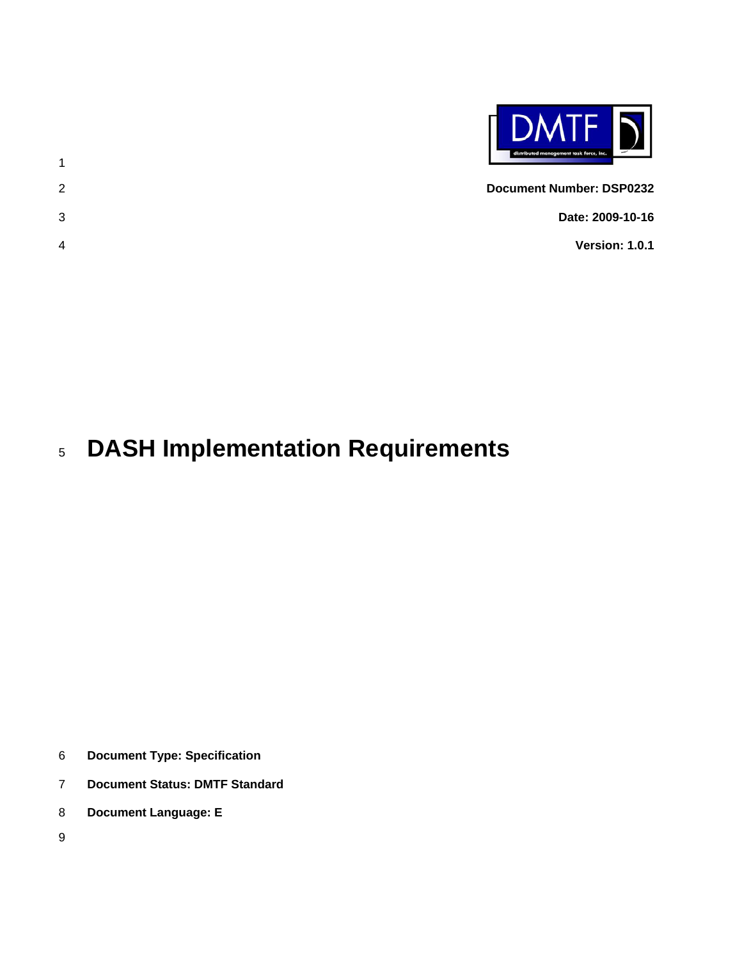

- 2 3 **Document Number: DSP0232 Date: 2009-10-16 Version: 1.0.1**
- 4

### 5 **DASH Implementation Requirements**

- 6 **Document Type: Specification**
- 7 **Document Status: DMTF Standard**
- 8 **Document Language: E**
- 9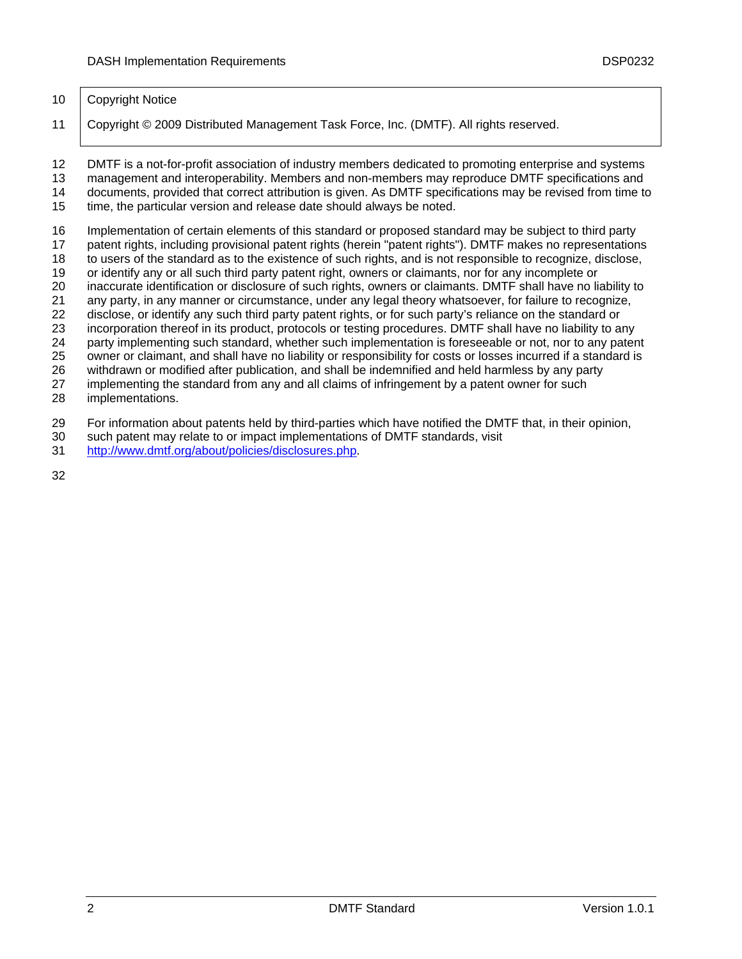### 10 | Copyright Notice

11 Copyright © 2009 Distributed Management Task Force, Inc. (DMTF). All rights reserved.

12 13 14 DMTF is a not-for-profit association of industry members dedicated to promoting enterprise and systems management and interoperability. Members and non-members may reproduce DMTF specifications and documents, provided that correct attribution is given. As DMTF specifications may be revised from time to

15 time, the particular version and release date should always be noted.

16 Implementation of certain elements of this standard or proposed standard may be subject to third party

17 patent rights, including provisional patent rights (herein "patent rights"). DMTF makes no representations

18 to users of the standard as to the existence of such rights, and is not responsible to recognize, disclose,

19 20 or identify any or all such third party patent right, owners or claimants, nor for any incomplete or inaccurate identification or disclosure of such rights, owners or claimants. DMTF shall have no liability to

21 any party, in any manner or circumstance, under any legal theory whatsoever, for failure to recognize,

22 disclose, or identify any such third party patent rights, or for such party's reliance on the standard or

23 incorporation thereof in its product, protocols or testing procedures. DMTF shall have no liability to any

24 party implementing such standard, whether such implementation is foreseeable or not, nor to any patent

25 owner or claimant, and shall have no liability or responsibility for costs or losses incurred if a standard is

26 withdrawn or modified after publication, and shall be indemnified and held harmless by any party

27 implementing the standard from any and all claims of infringement by a patent owner for such

28 implementations.

29 For information about patents held by third-parties which have notified the DMTF that, in their opinion,

- 30 such patent may relate to or impact implementations of DMTF standards, visit
- 31 <http://www.dmtf.org/about/policies/disclosures.php>.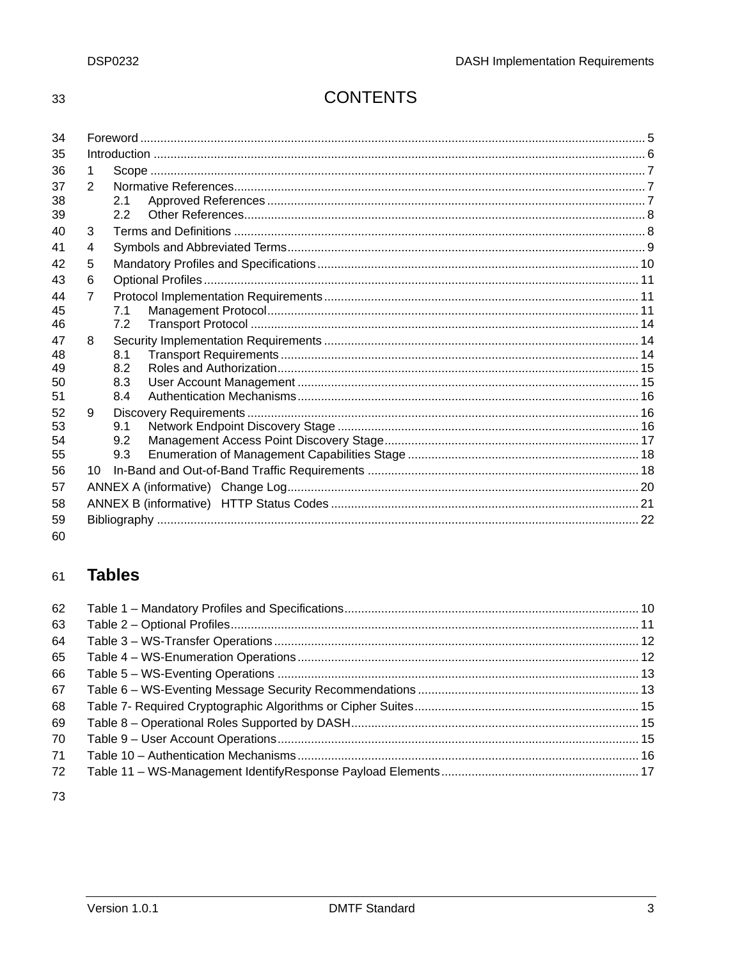33

## **CONTENTS**

| 34 |                |     |  |  |  |
|----|----------------|-----|--|--|--|
| 35 |                |     |  |  |  |
| 36 | 1.             |     |  |  |  |
| 37 | 2              |     |  |  |  |
| 38 |                | 2.1 |  |  |  |
| 39 |                | 22  |  |  |  |
| 40 | 3              |     |  |  |  |
| 41 | 4              |     |  |  |  |
| 42 | 5              |     |  |  |  |
| 43 | 6              |     |  |  |  |
| 44 | $\overline{7}$ |     |  |  |  |
| 45 |                | 7.1 |  |  |  |
| 46 |                | 7.2 |  |  |  |
| 47 | 8              |     |  |  |  |
| 48 |                | 8.1 |  |  |  |
| 49 |                | 8.2 |  |  |  |
| 50 | 8.3            |     |  |  |  |
| 51 |                | 8.4 |  |  |  |
| 52 | 9              |     |  |  |  |
| 53 |                | 9.1 |  |  |  |
| 54 |                | 9.2 |  |  |  |
| 55 |                | 9.3 |  |  |  |
| 56 | 10             |     |  |  |  |
| 57 |                |     |  |  |  |
| 58 |                |     |  |  |  |
| 59 |                |     |  |  |  |
| 60 |                |     |  |  |  |

### **Tables** 61

| 62 |  |
|----|--|
| 63 |  |
| 64 |  |
| 65 |  |
| 66 |  |
| 67 |  |
| 68 |  |
| 69 |  |
| 70 |  |
| 71 |  |
| 72 |  |
|    |  |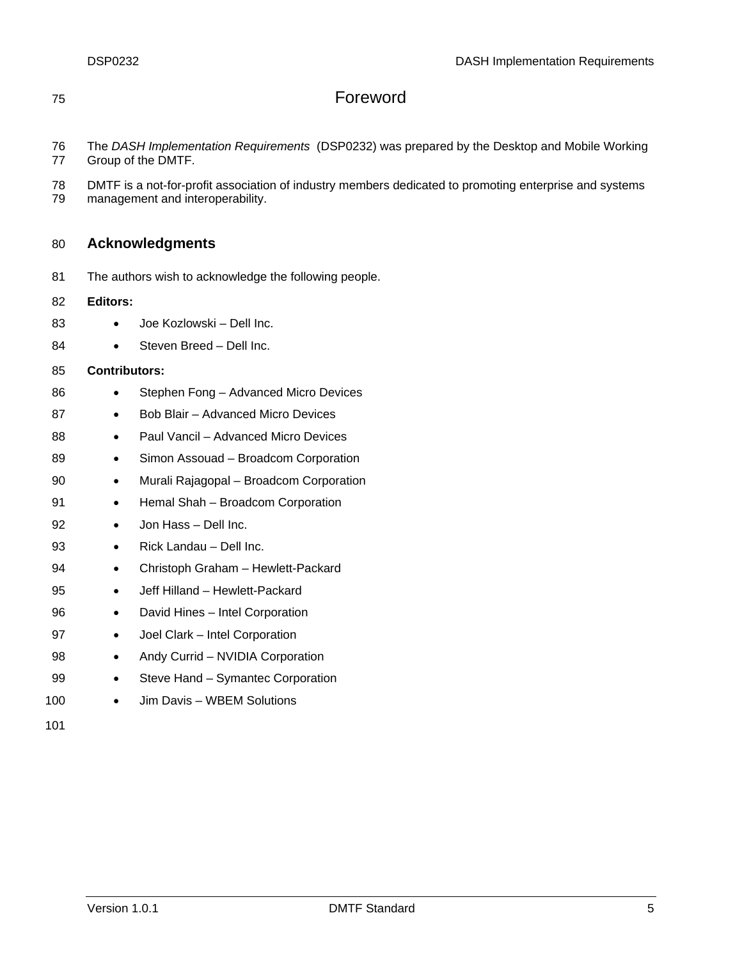## <span id="page-4-0"></span>75 Foreword

- 76 77 The *DASH Implementation Requirements* (DSP0232) was prepared by the Desktop and Mobile Working Group of the DMTF.
- 78 DMTF is a not-for-profit association of industry members dedicated to promoting enterprise and systems
- 79 management and interoperability.

#### 80 **Acknowledgments**

81 The authors wish to acknowledge the following people.

#### 82 **Editors:**

- 83 • Joe Kozlowski – Dell Inc.
- 84 • Steven Breed – Dell Inc.

#### 85 **Contributors:**

- 86 • Stephen Fong – Advanced Micro Devices
- 87 • Bob Blair – Advanced Micro Devices
- 88 • Paul Vancil – Advanced Micro Devices
- 89 • Simon Assouad – Broadcom Corporation
- 90 • Murali Rajagopal – Broadcom Corporation
- 91 • Hemal Shah – Broadcom Corporation

#### 92 • Jon Hass – Dell Inc.

- 93 • Rick Landau – Dell Inc.
- 94 • Christoph Graham – Hewlett-Packard
- 95 • Jeff Hilland – Hewlett-Packard
- 96 • David Hines – Intel Corporation
- 97 • Joel Clark – Intel Corporation
- 98 • Andy Currid – NVIDIA Corporation
- 99 • Steve Hand – Symantec Corporation
- 100 • Jim Davis – WBEM Solutions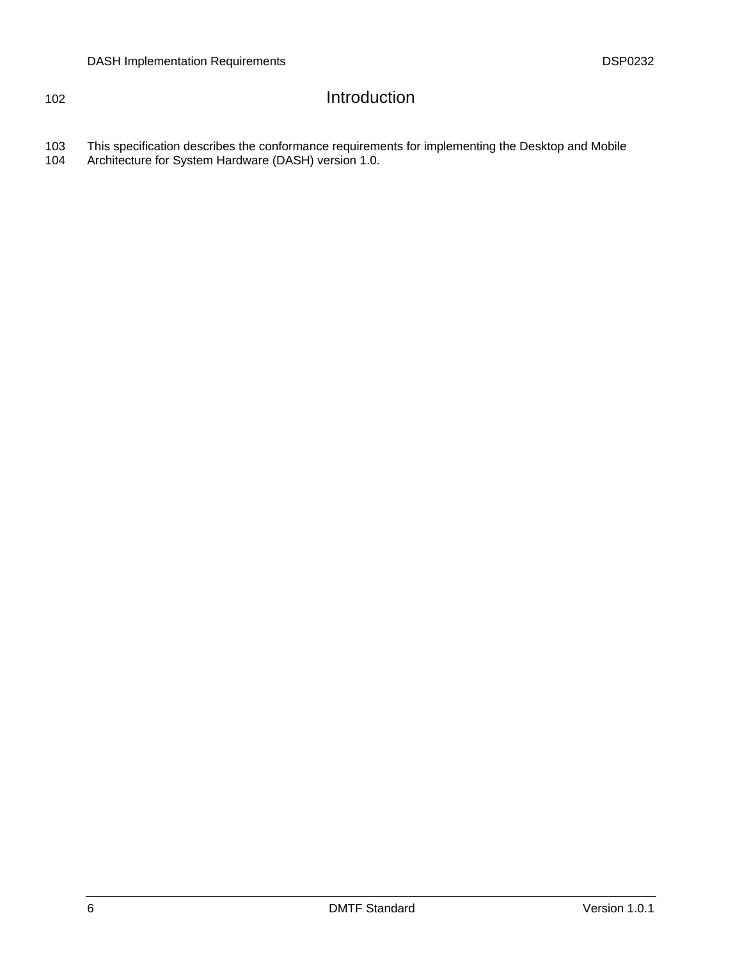## <span id="page-5-0"></span>102 Introduction

103 104 This specification describes the conformance requirements for implementing the Desktop and Mobile Architecture for System Hardware (DASH) version 1.0.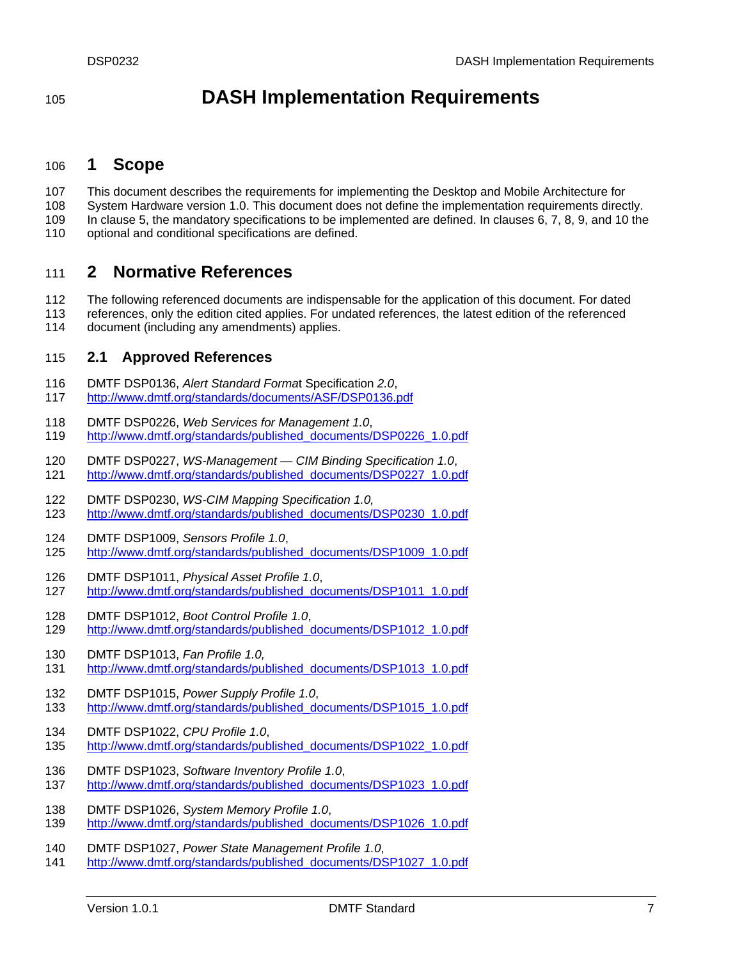<span id="page-6-0"></span><sup>105</sup>**DASH Implementation Requirements** 

#### 106 **1 Scope**

107 This document describes the requirements for implementing the Desktop and Mobile Architecture for

108 System Hardware version 1.0. This document does not define the implementation requirements directly.

109 In clause 5, the mandatory specifications to be implemented are defined. In clauses [6,](#page-10-1) [7,](#page-10-2) [8,](#page-13-1) [9,](#page-15-1) and [10](#page-17-1) the

110 optional [and](#page-9-1) conditional specifications are defined.

### 111 **2 Normative References**

112 113 The following referenced documents are indispensable for the application of this document. For dated references, only the edition cited applies. For undated references, the latest edition of the referenced

114 document (including any amendments) applies.

#### 115 **2.1 Approved References**

- 116 DMTF DSP0136, *Alert Standard Forma*t Specification *2.0*,
- 117 <http://www.dmtf.org/standards/documents/ASF/DSP0136.pdf>
- 118 DMTF DSP0226, *Web Services for Management 1.0*, 119 [http://www.dmtf.org/standards/published\\_documents/DSP0226\\_1.0.pdf](http://www.dmtf.org/standards/published_documents/DSP0226_1.0.pdf)
- 120 DMTF DSP0227, *WS-Management CIM Binding Specification 1.0*, 121 [http://www.dmtf.org/standards/published\\_documents/DSP0227\\_1.0.pdf](http://www.dmtf.org/standards/published_documents/DSP0227_1.0.pdf)
- 122 DMTF DSP0230, *WS-CIM Mapping Specification 1.0,* 123 [http://www.dmtf.org/standards/published\\_documents/DSP0230\\_1.0.pdf](http://www.dmtf.org/standards/published_documents/DSP0230_1.0.pdf)
- 124 DMTF DSP1009, *Sensors Profile 1.0*,
- 125 [http://www.dmtf.org/standards/published\\_documents/DSP1009\\_1.0.pdf](http://www.dmtf.org/standards/published_documents/DSP1009_1.0.pdf)
- 126 DMTF DSP1011, *Physical Asset Profile 1.0*,
- 127 [http://www.dmtf.org/standards/published\\_documents/DSP1011\\_1.0.pdf](http://www.dmtf.org/standards/published_documents/DSP1011_1.0.pdf)
- 128 DMTF DSP1012, *Boot Control Profile 1.0*,
- 129 [http://www.dmtf.org/standards/published\\_documents/DSP1012\\_1.0.pdf](http://www.dmtf.org/standards/published_documents/DSP1012_1.0.pdf)
- 130 DMTF DSP1013, *Fan Profile 1.0,*  131 [http://www.dmtf.org/standards/published\\_documents/DSP1013\\_1.0.pdf](http://www.dmtf.org/standards/published_documents/DSP1013_1.0.pdf)
- 132 DMTF DSP1015, *Power Supply Profile 1.0*,
- 133 [http://www.dmtf.org/standards/published\\_documents/DSP1015\\_1.0.pdf](http://www.dmtf.org/standards/published_documents/DSP1015_1.0.pdf)
- 134 DMTF DSP1022, *CPU Profile 1.0*, 135 [http://www.dmtf.org/standards/published\\_documents/DSP1022\\_1.0.pdf](http://www.dmtf.org/standards/published_documents/DSP1022_1.0.pdf)
- 136 DMTF DSP1023, *Software Inventory Profile 1.0*, 137 [http://www.dmtf.org/standards/published\\_documents/DSP1023\\_1.0.pdf](http://www.dmtf.org/standards/published_documents/DSP1023_1.0.pdf)
- 138 DMTF DSP1026, *System Memory Profile 1.0*, 139 [http://www.dmtf.org/standards/published\\_documents/DSP1026\\_1.0.pdf](http://www.dmtf.org/standards/published_documents/DSP1026_1.0.pdf)
- 140 DMTF DSP1027, *Power State Management Profile 1.0*,
- 141 [http://www.dmtf.org/standards/published\\_documents/DSP1027\\_1.0.pdf](http://www.dmtf.org/standards/published_documents/DSP1027_1.0.pdf)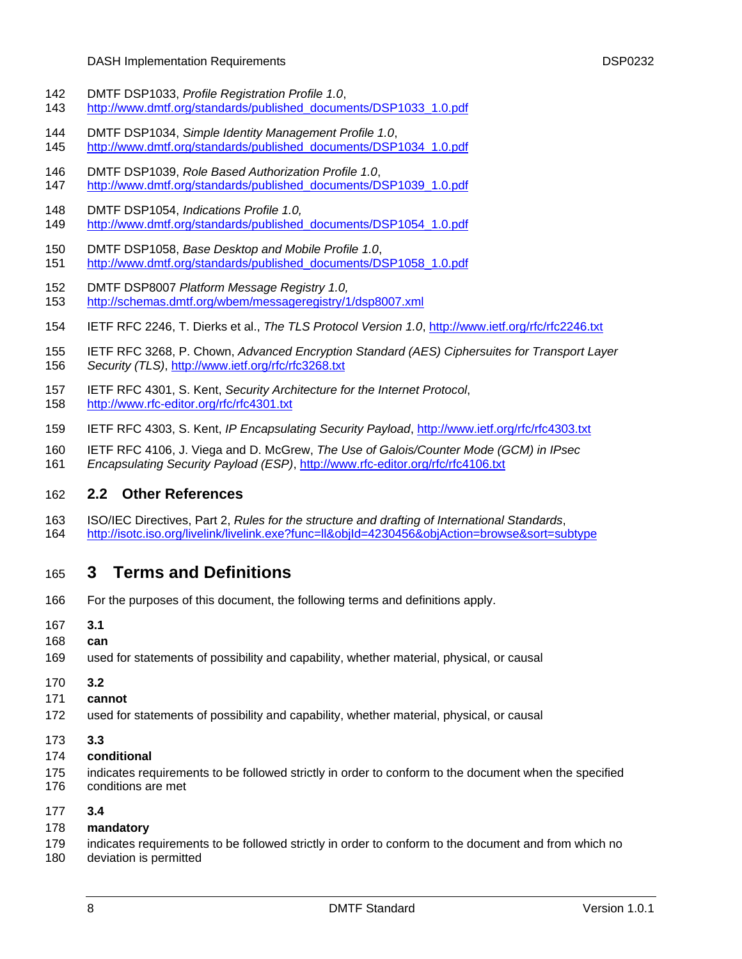### DASH Implementation Requirements DSP0232

- <span id="page-7-0"></span>142 DMTF DSP1033, *Profile Registration Profile 1.0*,
- 143 [http://www.dmtf.org/standards/published\\_documents/DSP1033\\_1.0.pdf](http://www.dmtf.org/standards/published_documents/DSP1033_1.0.pdf)
- 144 DMTF DSP1034, *Simple Identity Management Profile 1.0*,
- 145 [http://www.dmtf.org/standards/published\\_documents/DSP1034\\_1.0.pdf](http://www.dmtf.org/standards/published_documents/DSP1034_1.0.pdf)
- 146 DMTF DSP1039, *Role Based Authorization Profile 1.0*, 147 [http://www.dmtf.org/standards/published\\_documents/DSP1039\\_1.0.pdf](http://www.dmtf.org/standards/published_documents/DSP1039_1.0.pdf)
- 148 DMTF DSP1054, *Indications Profile 1.0,*
- 149 [http://www.dmtf.org/standards/published\\_documents/DSP1054\\_1.0.pdf](http://www.dmtf.org/standards/published_documents/DSP1054_1.0.pdf)
- 150 DMTF DSP1058, *Base Desktop and Mobile Profile 1.0*,
- 151 [http://www.dmtf.org/standards/published\\_documents/DSP1058\\_1.0.pdf](http://www.dmtf.org/standards/published_documents/DSP1058_1.0.pdf)
- 152 DMTF DSP8007 *Platform Message Registry 1.0,*  153 <http://schemas.dmtf.org/wbem/messageregistry/1/dsp8007.xml>
- 154 IETF RFC 2246, T. Dierks et al., *The TLS Protocol Version 1.0*,<http://www.ietf.org/rfc/rfc2246.txt>
- 155 IETF RFC 3268, P. Chown, *Advanced Encryption Standard (AES) Ciphersuites for Transport Layer*  156 *Security (TLS)*,<http://www.ietf.org/rfc/rfc3268.txt>
- 157 IETF RFC 4301, S. Kent, *Security Architecture for the Internet Protocol*, 158 <http://www.rfc-editor.org/rfc/rfc4301.txt>
- 159 IETF RFC 4303, S. Kent, *IP Encapsulating Security Payload*,<http://www.ietf.org/rfc/rfc4303.txt>
- 160 IETF RFC 4106, J. Viega and D. McGrew, *The Use of Galois/Counter Mode (GCM) in IPsec*
- 161 *Encapsulating Security Payload (ESP)*, <http://www.rfc-editor.org/rfc/rfc4106.txt>

#### 162 **2.2 Other References**

163 ISO/IEC Directives, Part 2, *Rules for the structure and drafting of International Standards*, 164 <http://isotc.iso.org/livelink/livelink.exe?func=ll&objId=4230456&objAction=browse&sort=subtype>

### 165 **3 Terms and Definitions**

- 166 For the purposes of this document, the following terms and definitions apply.
- 167 **3.1**
- 168 **can**
- 169 used for statements of possibility and capability, whether material, physical, or causal
- 170 **3.2**
- 171 **cannot**
- 172 used for statements of possibility and capability, whether material, physical, or causal
- 173 **3.3**
- 174 **conditional**
- 175 indicates requirements to be followed strictly in order to conform to the document when the specified
- 176 conditions are met
- 177 **3.4**

#### 178 **mandatory**

- 179 indicates requirements to be followed strictly in order to conform to the document and from which no
- 180 deviation is permitted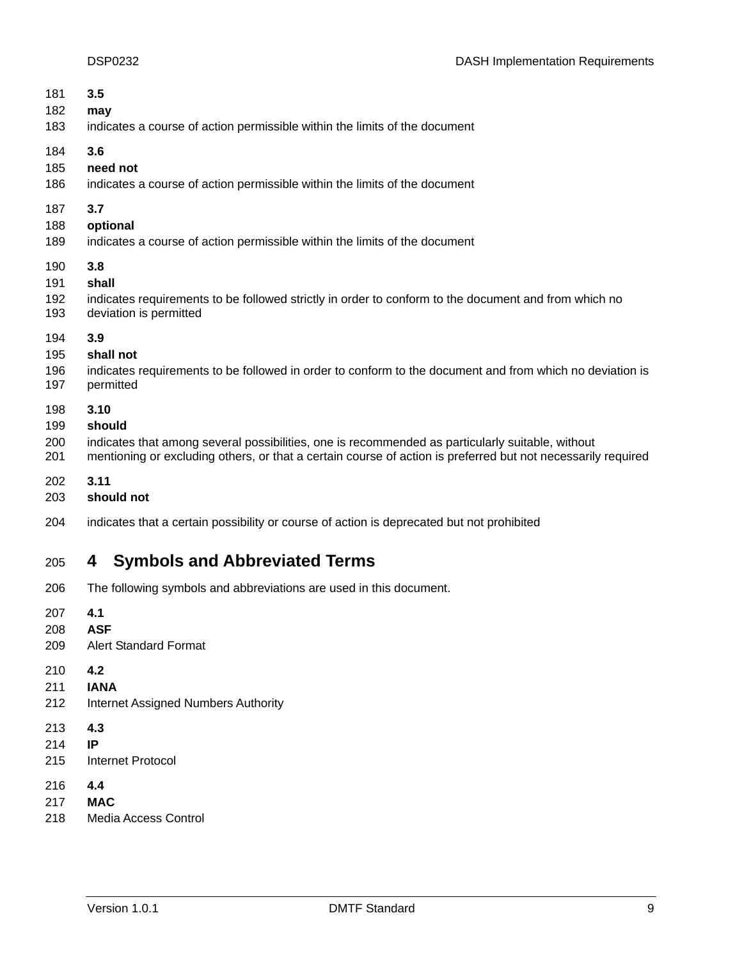<span id="page-8-0"></span>

| 181<br>182<br>183        | 3.5<br>may<br>indicates a course of action permissible within the limits of the document                                                                                                                                           |
|--------------------------|------------------------------------------------------------------------------------------------------------------------------------------------------------------------------------------------------------------------------------|
| 184<br>185<br>186        | 3.6<br>need not<br>indicates a course of action permissible within the limits of the document                                                                                                                                      |
| 187<br>188<br>189        | 3.7<br>optional<br>indicates a course of action permissible within the limits of the document                                                                                                                                      |
| 190<br>191<br>192<br>193 | 3.8<br>shall<br>indicates requirements to be followed strictly in order to conform to the document and from which no<br>deviation is permitted                                                                                     |
| 194<br>195<br>196<br>197 | 3.9<br>shall not<br>indicates requirements to be followed in order to conform to the document and from which no deviation is<br>permitted                                                                                          |
| 198<br>199<br>200<br>201 | 3.10<br>should<br>indicates that among several possibilities, one is recommended as particularly suitable, without<br>mentioning or excluding others, or that a certain course of action is preferred but not necessarily required |
|                          |                                                                                                                                                                                                                                    |

202 **3.11**

- 203 **should not**
- 204 indicates that a certain possibility or course of action is deprecated but not prohibited

### 205 **4 Symbols and Abbreviated Terms**

- 206 The following symbols and abbreviations are used in this document.
- 207 **4.1**
- 208 **ASF**
- 209 Alert Standard Format
- 210 **4.2**
- 211 **IANA**
- 212 Internet Assigned Numbers Authority
- 213 **4.3**
- 214 **IP**
- 215 Internet Protocol
- 216 **4.4**
- 217 **MAC**
- 218 Media Access Control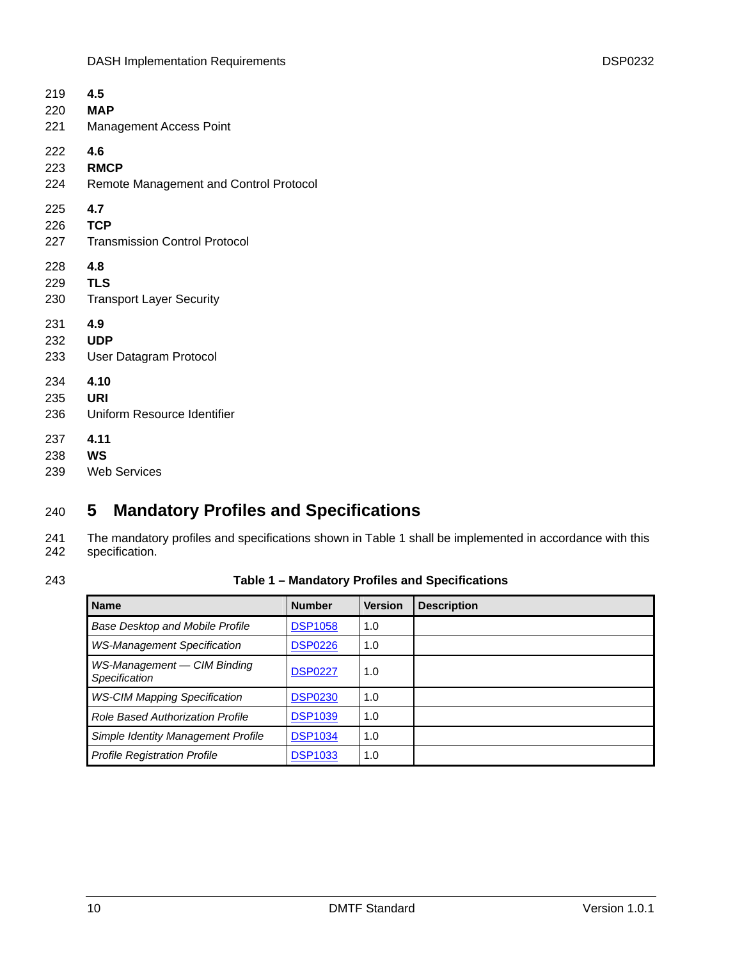<span id="page-9-0"></span>

| 219 | 4.5                                    |
|-----|----------------------------------------|
| 220 | <b>MAP</b>                             |
| 221 | <b>Management Access Point</b>         |
| 222 | 4.6                                    |
| 223 | <b>RMCP</b>                            |
| 224 | Remote Management and Control Protocol |
| 225 | 4.7                                    |
| 226 | <b>TCP</b>                             |
| 227 | <b>Transmission Control Protocol</b>   |
| 228 | 4.8                                    |
| 229 | <b>TLS</b>                             |
| 230 | <b>Transport Layer Security</b>        |
| 231 | 4.9                                    |
| 232 | <b>UDP</b>                             |
| 233 | User Datagram Protocol                 |
| 234 | 4.10                                   |
| 235 | URI                                    |
| 236 | Uniform Resource Identifier            |
| 237 | 4.11                                   |
| 238 | WS                                     |
| 239 | <b>Web Services</b>                    |

### <span id="page-9-1"></span>240 **5 Mandatory Profiles and Specifications**

241 242 The mandatory profiles and specifications shown in [Table 1](#page-9-2) shall be implemented in accordance with this specification.

243

## <span id="page-9-2"></span>**Table 1 – Mandatory Profiles and Specifications**

| <b>Name</b>                                  | <b>Number</b>  | <b>Version</b> | <b>Description</b> |
|----------------------------------------------|----------------|----------------|--------------------|
| <b>Base Desktop and Mobile Profile</b>       | <b>DSP1058</b> | 1.0            |                    |
| <b>WS-Management Specification</b>           | <b>DSP0226</b> | 1.0            |                    |
| WS-Management - CIM Binding<br>Specification | <b>DSP0227</b> | 1.0            |                    |
| <b>WS-CIM Mapping Specification</b>          | <b>DSP0230</b> | 1.0            |                    |
| <b>Role Based Authorization Profile</b>      | <b>DSP1039</b> | 1.0            |                    |
| Simple Identity Management Profile           | <b>DSP1034</b> | 1.0            |                    |
| <b>Profile Registration Profile</b>          | <b>DSP1033</b> | 1.0            |                    |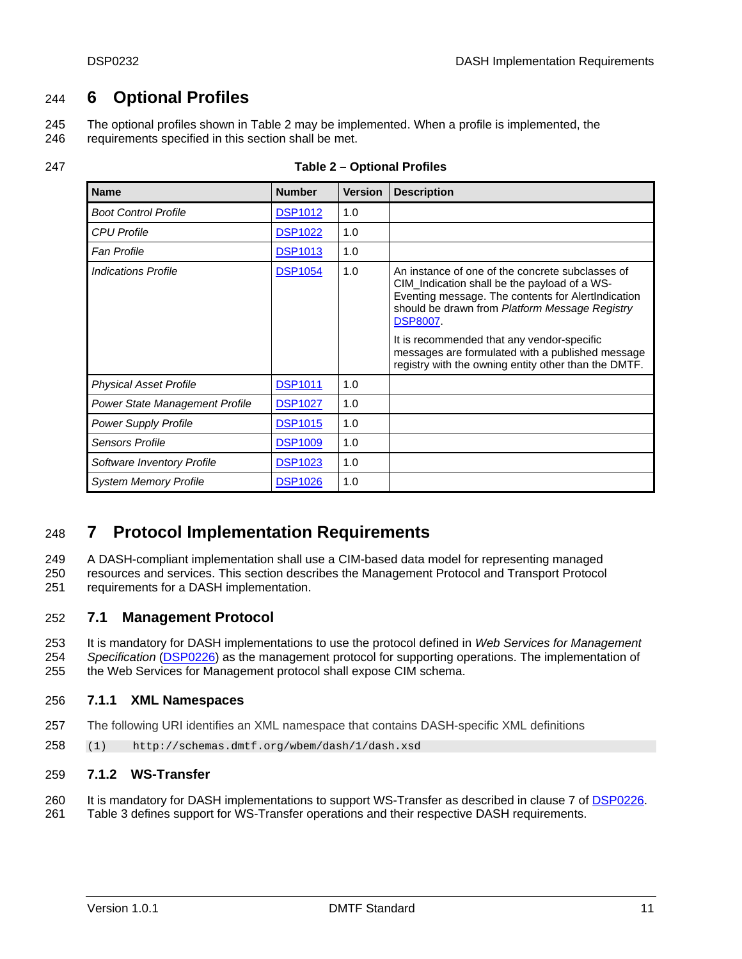## <span id="page-10-1"></span><span id="page-10-0"></span>244 **6 Optional Profiles**

245 246 The optional profiles shown in [Table 2](#page-10-3) may be implemented. When a profile is implemented, the requirements specified in this section shall be met.

247

<span id="page-10-3"></span>

| <b>Name</b>                           | <b>Number</b>  | <b>Version</b> | <b>Description</b>                                                                                                                                                                                                                                                                                                                                                                   |
|---------------------------------------|----------------|----------------|--------------------------------------------------------------------------------------------------------------------------------------------------------------------------------------------------------------------------------------------------------------------------------------------------------------------------------------------------------------------------------------|
| <b>Boot Control Profile</b>           | <b>DSP1012</b> | 1.0            |                                                                                                                                                                                                                                                                                                                                                                                      |
| <b>CPU Profile</b>                    | <b>DSP1022</b> | 1.0            |                                                                                                                                                                                                                                                                                                                                                                                      |
| <b>Fan Profile</b>                    | <b>DSP1013</b> | 1.0            |                                                                                                                                                                                                                                                                                                                                                                                      |
| <b>Indications Profile</b>            | <b>DSP1054</b> | 1.0            | An instance of one of the concrete subclasses of<br>CIM_Indication shall be the payload of a WS-<br>Eventing message. The contents for AlertIndication<br>should be drawn from Platform Message Registry<br><b>DSP8007</b><br>It is recommended that any vendor-specific<br>messages are formulated with a published message<br>registry with the owning entity other than the DMTF. |
| <b>Physical Asset Profile</b>         | <b>DSP1011</b> | 1.0            |                                                                                                                                                                                                                                                                                                                                                                                      |
| <b>Power State Management Profile</b> | <b>DSP1027</b> | 1.0            |                                                                                                                                                                                                                                                                                                                                                                                      |
| <b>Power Supply Profile</b>           | <b>DSP1015</b> | 1.0            |                                                                                                                                                                                                                                                                                                                                                                                      |
| <b>Sensors Profile</b>                | <b>DSP1009</b> | 1.0            |                                                                                                                                                                                                                                                                                                                                                                                      |
| Software Inventory Profile            | <b>DSP1023</b> | 1.0            |                                                                                                                                                                                                                                                                                                                                                                                      |
| <b>System Memory Profile</b>          | <b>DSP1026</b> | 1.0            |                                                                                                                                                                                                                                                                                                                                                                                      |

## <span id="page-10-2"></span>248 **7 Protocol Implementation Requirements**

249 250 A DASH-compliant implementation shall use a CIM-based data model for representing managed resources and services. This section describes the Management Protocol and Transport Protocol

251 requirements for a DASH implementation.

#### 252 **7.1 Management Protocol**

253 It is mandatory for DASH implementations to use the protocol defined in *Web Services for Management Specification* ([DSP0226\)](#page-6-0) as the management protocol for supporting operations. The implementation of the Web Services for Management protocol shall expose CIM schema. 254 255

#### 256 **7.1.1 XML Namespaces**

- 257 The following URI identifies an XML namespace that contains DASH-specific XML definitions
- 258 (1) http://schemas.dmtf.org/wbem/dash/1/dash.xsd

#### 259 **7.1.2 WS-Transfer**

It is mandatory for DASH implementations to support WS-Transfer as described in clause 7 of [DSP0226.](#page-6-0) 260

[Table 3](#page-11-1) defines support for WS-Transfer operations and their respective DASH requirements. 261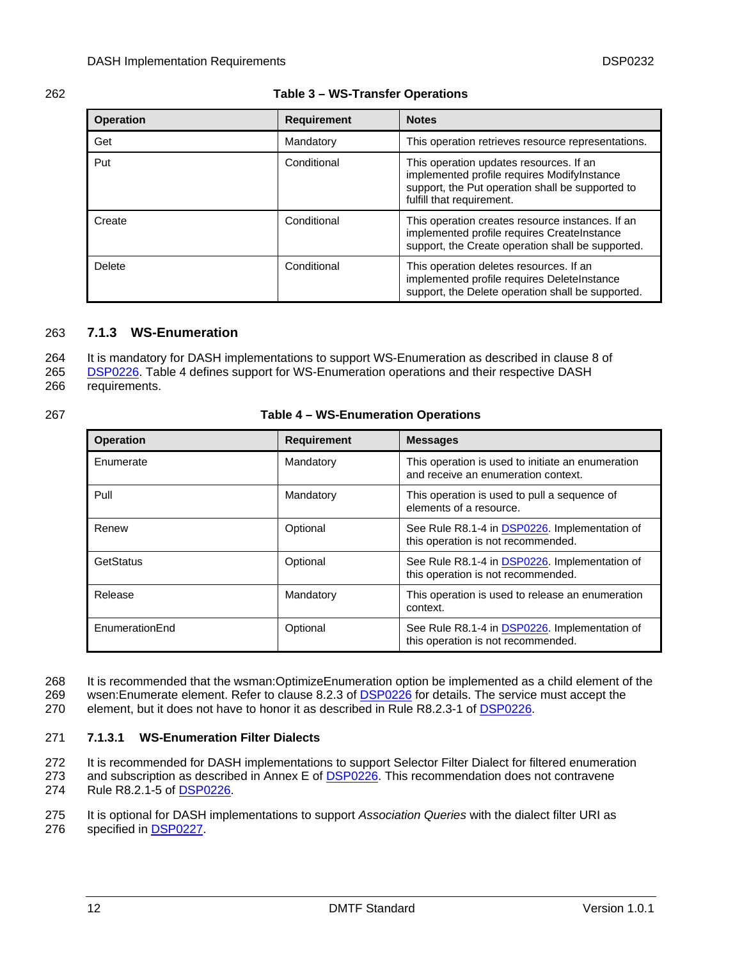<span id="page-11-0"></span>

| v.<br>۰. |
|----------|
|----------|

### <span id="page-11-1"></span>262 **Table 3 – WS-Transfer Operations**

| <b>Operation</b> | <b>Requirement</b> | <b>Notes</b>                                                                                                                                                            |
|------------------|--------------------|-------------------------------------------------------------------------------------------------------------------------------------------------------------------------|
| Get              | Mandatory          | This operation retrieves resource representations.                                                                                                                      |
| Put              | Conditional        | This operation updates resources. If an<br>implemented profile requires ModifyInstance<br>support, the Put operation shall be supported to<br>fulfill that requirement. |
| Create           | Conditional        | This operation creates resource instances. If an<br>implemented profile requires CreateInstance<br>support, the Create operation shall be supported.                    |
| Delete           | Conditional        | This operation deletes resources. If an<br>implemented profile requires DeleteInstance<br>support, the Delete operation shall be supported.                             |

### 263 **7.1.3 WS-Enumeration**

264 It is mandatory for DASH implementations to support WS-Enumeration as described in clause 8 of

[DSP0226.](#page-6-0) Table 4 defines support for WS-Enumeration operations and their respective DASH requireme[nts.](#page-11-2) 265 266

### 267 **Table 4 – WS-Enumeration Operations**

<span id="page-11-2"></span>

| <b>Operation</b> | <b>Requirement</b> | <b>Messages</b>                                                                          |  |
|------------------|--------------------|------------------------------------------------------------------------------------------|--|
| Enumerate        | Mandatory          | This operation is used to initiate an enumeration<br>and receive an enumeration context. |  |
| Pull             | Mandatory          | This operation is used to pull a sequence of<br>elements of a resource.                  |  |
| Renew            | Optional           | See Rule R8.1-4 in DSP0226. Implementation of<br>this operation is not recommended.      |  |
| <b>GetStatus</b> | Optional           | See Rule R8.1-4 in DSP0226. Implementation of<br>this operation is not recommended.      |  |
| Release          | Mandatory          | This operation is used to release an enumeration<br>context.                             |  |
| EnumerationEnd   | Optional           | See Rule R8.1-4 in DSP0226. Implementation of<br>this operation is not recommended.      |  |

It is recommended that the wsman:OptimizeEnumeration option be implemented as a child element of the 268

wsen:Enumerate element. Refer to clause 8.2.3 of [DSP0226](#page-6-0) for details. The service must accept the 269

270 element, but it does not have to honor it as described in Rule R8.2.3-1 of [DSP0226.](#page-6-0)

#### 271 **7.1.3.1 WS-Enumeration Filter Dialects**

272 It is recommended for DASH implementations to support Selector Filter Dialect for filtered enumeration

and subscription as described in Annex E of [DSP0226](#page-6-0). This recommendation does not contravene 274 Rule R8.2.1-5 of [DSP0226](#page-6-0). 273

275 It is optional for DASH implementations to support *Association Queries* with the dialect filter URI as

276 specified in [DSP0227.](#page-6-0)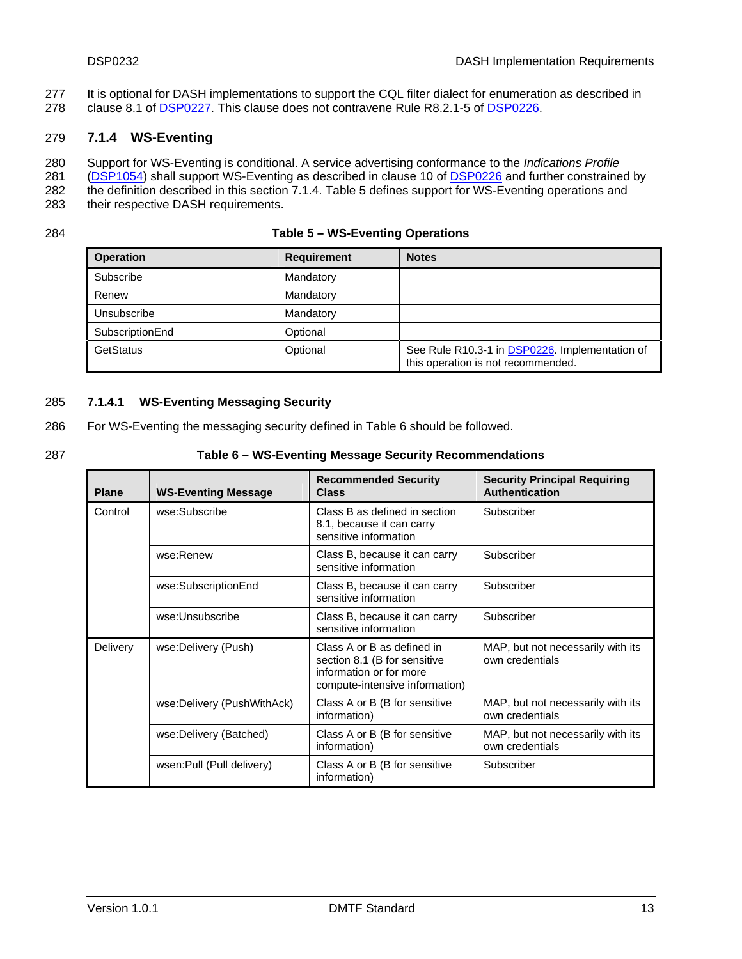- <span id="page-12-0"></span>It is optional for DASH implementations to support the CQL filter dialect for enumeration as described in 277
- 278 Clause 8.1 of [DSP0227](#page-6-0). This clause does not contravene Rule R8.2.1-5 of [DSP0226](#page-6-0).

#### 279 **7.1.4 WS-Eventing**

- 280 Support for WS-Eventing is conditional. A service advertising conformance to the *Indications Profile*
- [\(DSP1054](#page-7-0)) shall support WS-Eventing as described in clause 10 of [DSP0226](#page-6-0) and further constrained by 281
- the definition described in this section 7.1.4. [Table 5](#page-12-1) defines support for WS-Eventing operations and 282
- their respective DASH requirements. 283

### 284 **Table 5 – WS-Eventing Operations**

<span id="page-12-1"></span>

| <b>Operation</b> | <b>Requirement</b> | <b>Notes</b>                                                                         |
|------------------|--------------------|--------------------------------------------------------------------------------------|
| Subscribe        | Mandatory          |                                                                                      |
| Renew            | Mandatory          |                                                                                      |
| Unsubscribe      | Mandatory          |                                                                                      |
| SubscriptionEnd  | Optional           |                                                                                      |
| GetStatus        | Optional           | See Rule R10.3-1 in DSP0226. Implementation of<br>this operation is not recommended. |

### 285 **7.1.4.1 WS-Eventing Messaging Security**

- 286 For WS-Eventing the messaging security defined in [Table 6](#page-12-2) should be followed.
- 287

### <span id="page-12-3"></span><span id="page-12-2"></span>**Table 6 – WS-Eventing Message Security Recommendations**

| <b>Plane</b> | <b>WS-Eventing Message</b> | <b>Recommended Security</b><br><b>Class</b>                                                                             | <b>Security Principal Requiring</b><br><b>Authentication</b> |
|--------------|----------------------------|-------------------------------------------------------------------------------------------------------------------------|--------------------------------------------------------------|
| Control      | wse:Subscribe              | Class B as defined in section<br>8.1, because it can carry<br>sensitive information                                     | Subscriber                                                   |
|              | wse:Renew                  | Class B, because it can carry<br>sensitive information                                                                  | Subscriber                                                   |
|              | wse:SubscriptionEnd        | Class B, because it can carry<br>sensitive information                                                                  | Subscriber                                                   |
|              | wse:Unsubscribe            | Class B, because it can carry<br>sensitive information                                                                  | Subscriber                                                   |
| Delivery     | wse:Delivery (Push)        | Class A or B as defined in<br>section 8.1 (B for sensitive<br>information or for more<br>compute-intensive information) | MAP, but not necessarily with its<br>own credentials         |
|              | wse:Delivery (PushWithAck) | Class A or B (B for sensitive<br>information)                                                                           | MAP, but not necessarily with its<br>own credentials         |
|              | wse:Delivery (Batched)     | Class A or B (B for sensitive<br>information)                                                                           | MAP, but not necessarily with its<br>own credentials         |
|              | wsen: Pull (Pull delivery) | Class A or B (B for sensitive<br>information)                                                                           | Subscriber                                                   |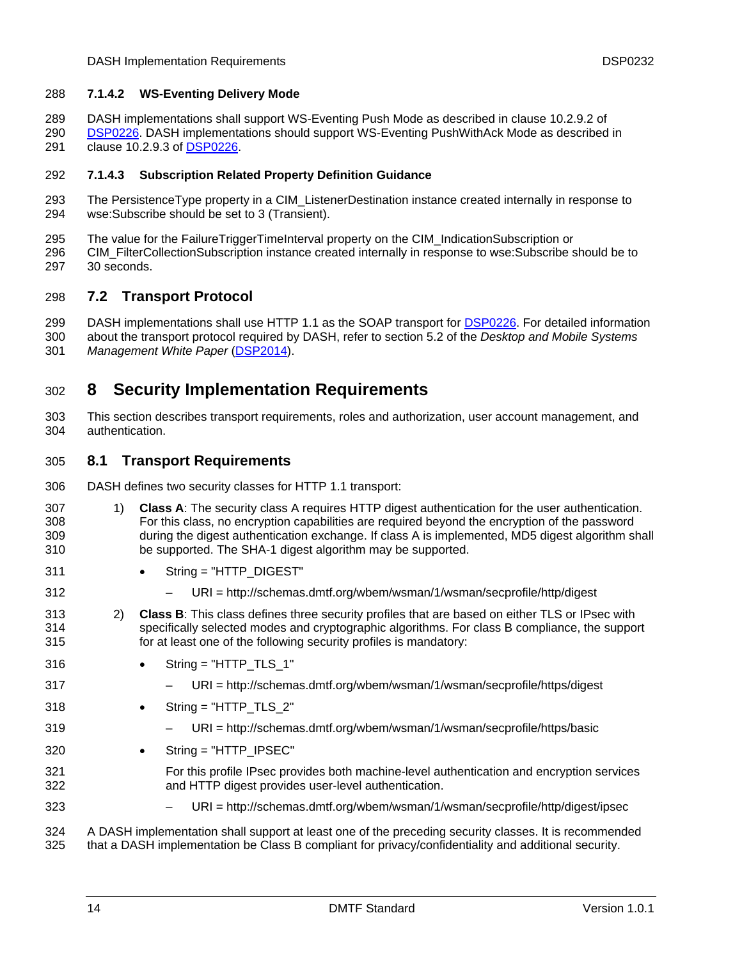### <span id="page-13-0"></span>288 **7.1.4.2 WS-Eventing Delivery Mode**

- 289 DASH implementations shall support WS-Eventing Push Mode as described in clause 10.2.9.2 of
- [DSP0226.](#page-6-0) DASH implementations should support WS-Eventing PushWithAck Mode as described in 291 clause 10.2.9.3 of [DSP0226](#page-6-0). 290

#### 292 **7.1.4.3 Subscription Related Property Definition Guidance**

- 293 294 The PersistenceType property in a CIM\_ListenerDestination instance created internally in response to wse:Subscribe should be set to 3 (Transient).
- 295 The value for the FailureTriggerTimeInterval property on the CIM\_IndicationSubscription or
- 296 297 CIM\_FilterCollectionSubscription instance created internally in response to wse:Subscribe should be to 30 seconds.

#### 298 **7.2 Transport Protocol**

DASH implementations shall use HTTP 1.1 as the SOAP transport for [DSP0226](#page-6-0). For detailed information about the transport protocol required by DASH, refer to section 5.2 of the *Desktop and Mobile Systems*  301 Management White Paper ([DSP2014](#page-21-0)). 299 300

### <span id="page-13-1"></span>302 **8 Security Implementation Requirements**

303 304 This section describes transport requirements, roles and authorization, user account management, and authentication.

#### <span id="page-13-2"></span>305 **8.1 Transport Requirements**

- 306 DASH defines two security classes for HTTP 1.1 transport:
- 307 308 309 310 1) **Class A**: The security class A requires HTTP digest authentication for the user authentication. For this class, no encryption capabilities are required beyond the encryption of the password during the digest authentication exchange. If class A is implemented, MD5 digest algorithm shall be supported. The SHA-1 digest algorithm may be supported.
- 311 String = "HTTP\_DIGEST"
	- URI = http://schemas.dmtf.org/wbem/wsman/1/wsman/secprofile/http/digest
- 313 314 315 2) **Class B**: This class defines three security profiles that are based on either TLS or IPsec with specifically selected modes and cryptographic algorithms. For class B compliance, the support for at least one of the following security profiles is mandatory:
- 316  $String = "HTTP_TLS_1"$
- 317

323

312

- 
- URI = http://schemas.dmtf.org/wbem/wsman/1/wsman/secprofile/https/digest
- 318 String = "HTTP\_TLS\_2"
- 319
- 320 • String = "HTTP\_IPSEC"
- 321 322 For this profile IPsec provides both machine-level authentication and encryption services and HTTP digest provides user-level authentication.
	- URI = http://schemas.dmtf.org/wbem/wsman/1/wsman/secprofile/http/digest/ipsec

– URI = http://schemas.dmtf.org/wbem/wsman/1/wsman/secprofile/https/basic

324 325 A DASH implementation shall support at least one of the preceding security classes. It is recommended that a DASH implementation be Class B compliant for privacy/confidentiality and additional security.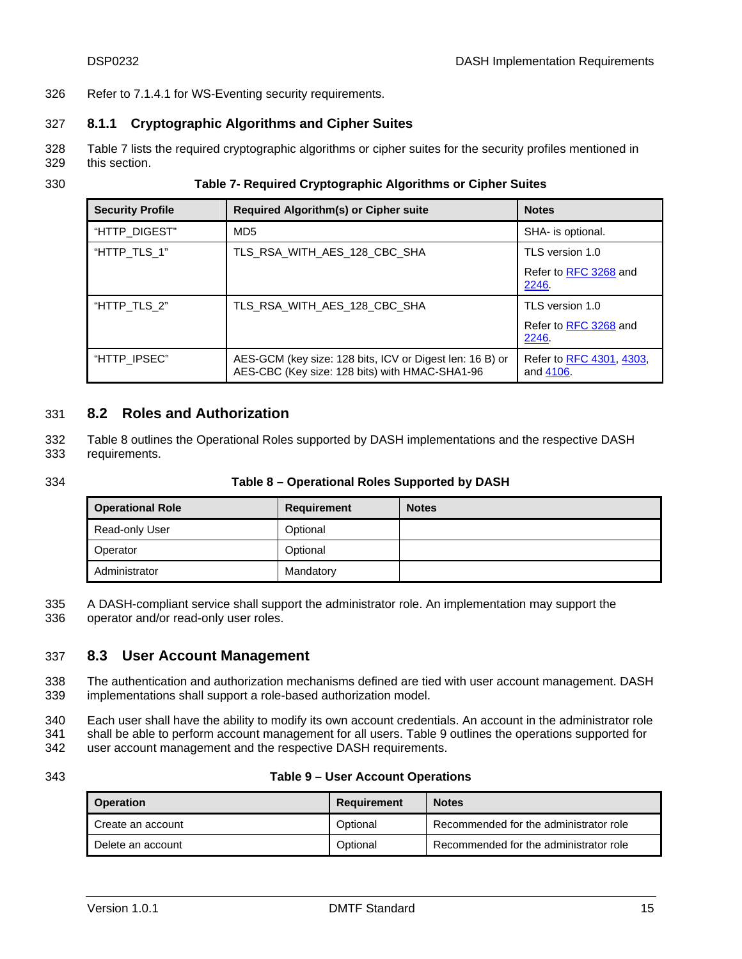<span id="page-14-0"></span>326 Refer to [7.1.4.1](#page-12-3) for WS-Eventing security requirements.

### 327 **8.1.1 Cryptographic Algorithms and Cipher Suites**

- 328 329 [Table 7](#page-14-1) lists the required cryptographic algorithms or cipher suites for the security profiles mentioned in this section.
- 330

### <span id="page-14-1"></span>**Table 7- Required Cryptographic Algorithms or Cipher Suites**

| <b>Security Profile</b> | <b>Required Algorithm(s) or Cipher suite</b>                                                               | <b>Notes</b>                          |
|-------------------------|------------------------------------------------------------------------------------------------------------|---------------------------------------|
| "HTTP DIGEST"           | MD <sub>5</sub>                                                                                            | SHA- is optional.                     |
| "HTTP TLS 1"            | TLS RSA WITH AES 128 CBC SHA                                                                               | TLS version 1.0                       |
|                         |                                                                                                            | Refer to RFC 3268 and<br>2246.        |
| "HTTP TLS 2"            | TLS RSA WITH AES 128 CBC SHA                                                                               | TLS version 1.0                       |
|                         |                                                                                                            | Refer to RFC 3268 and<br>2246.        |
| "HTTP IPSEC"            | AES-GCM (key size: 128 bits, ICV or Digest len: 16 B) or<br>AES-CBC (Key size: 128 bits) with HMAC-SHA1-96 | Refer to RFC 4301, 4303,<br>and 4106. |

### 331 **8.2 Roles and Authorization**

- 332 333 [Table 8](#page-14-2) outlines the Operational Roles supported by DASH implementations and the respective DASH requirements.
- 334

### <span id="page-14-2"></span>**Table 8 – Operational Roles Supported by DASH**

| <b>Operational Role</b> | Requirement | <b>Notes</b> |
|-------------------------|-------------|--------------|
| Read-only User          | Optional    |              |
| Operator                | Optional    |              |
| Administrator           | Mandatory   |              |

335 336 A DASH-compliant service shall support the administrator role. An implementation may support the operator and/or read-only user roles.

#### 337 **8.3 User Account Management**

338 339 The authentication and authorization mechanisms defined are tied with user account management. DASH implementations shall support a role-based authorization model.

340 341 Each user shall have the ability to modify its own account credentials. An account in the administrator role shall be able to perform account management for all users. Table 9 outlines the operations supported for

- 342 user account management and the respective DASH requir[ements.](#page-14-3)
- 343

### <span id="page-14-3"></span>**Table 9 – User Account Operations**

| <b>Operation</b>  | Requirement | <b>Notes</b>                           |
|-------------------|-------------|----------------------------------------|
| Create an account | Optional    | Recommended for the administrator role |
| Delete an account | Optional    | Recommended for the administrator role |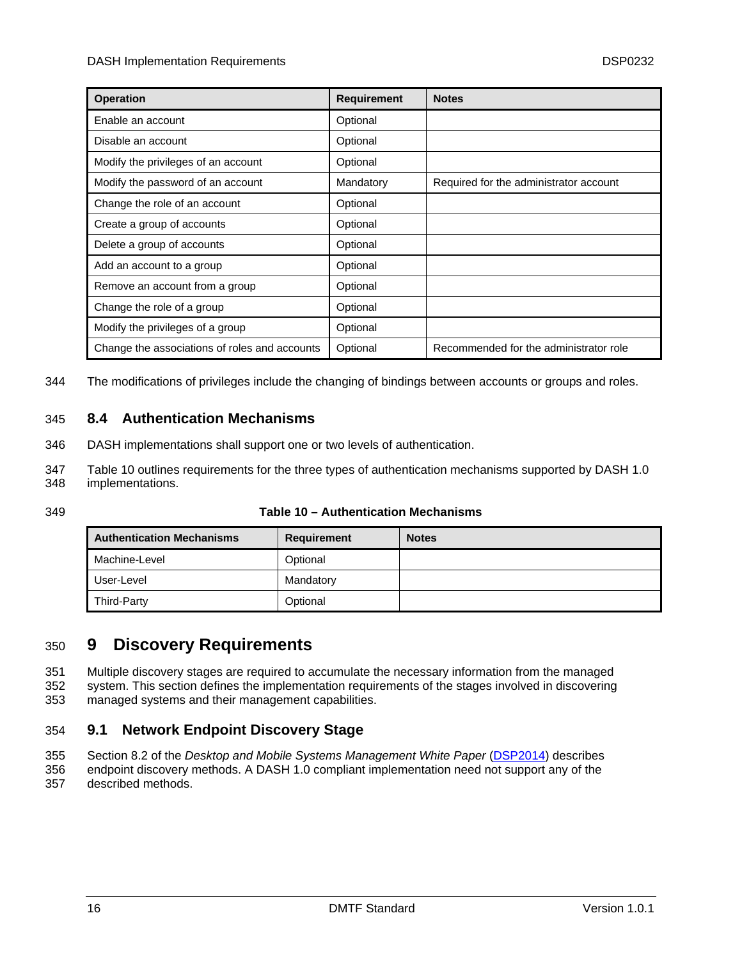<span id="page-15-0"></span>

| <b>Operation</b>                              | <b>Requirement</b> | <b>Notes</b>                           |
|-----------------------------------------------|--------------------|----------------------------------------|
| Enable an account                             | Optional           |                                        |
| Disable an account                            | Optional           |                                        |
| Modify the privileges of an account           | Optional           |                                        |
| Modify the password of an account             | Mandatory          | Required for the administrator account |
| Change the role of an account                 | Optional           |                                        |
| Create a group of accounts                    | Optional           |                                        |
| Delete a group of accounts                    | Optional           |                                        |
| Add an account to a group                     | Optional           |                                        |
| Remove an account from a group                | Optional           |                                        |
| Change the role of a group                    | Optional           |                                        |
| Modify the privileges of a group              | Optional           |                                        |
| Change the associations of roles and accounts | Optional           | Recommended for the administrator role |

344 The modifications of privileges include the changing of bindings between accounts or groups and roles.

### 345 **8.4 Authentication Mechanisms**

- 346 DASH implementations shall support one or two levels of authentication.
- 347 348 [Table 10](#page-15-2) outlines requirements for the three types of authentication mechanisms supported by DASH 1.0 implementations.
- 349

### <span id="page-15-2"></span>**Table 10 – Authentication Mechanisms**

| <b>Authentication Mechanisms</b> | Requirement | <b>Notes</b> |
|----------------------------------|-------------|--------------|
| Machine-Level                    | Optional    |              |
| User-Level                       | Mandatory   |              |
| Third-Party                      | Optional    |              |

## <span id="page-15-1"></span>350 **9 Discovery Requirements**

- 351 352 Multiple discovery stages are required to accumulate the necessary information from the managed system. This section defines the implementation requirements of the stages involved in discovering
- 353 managed systems and their management capabilities.

### 354 **9.1 Network Endpoint Discovery Stage**

- Section 8.2 of the *Desktop and Mobile Systems Management White Paper* [\(DSP2014](#page-21-0)) describes 355
- endpoint discovery methods. A DASH 1.0 compliant implementation need not support any of the described methods. 356 357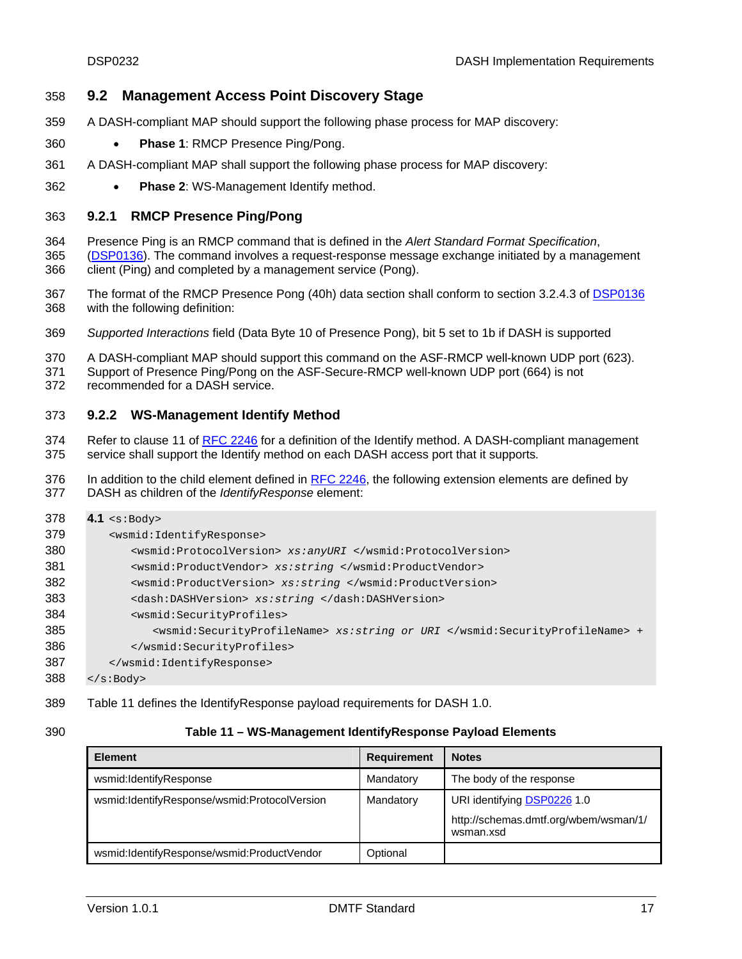### <span id="page-16-0"></span>358 **9.2 Management Access Point Discovery Stage**

- 359 A DASH-compliant MAP should support the following phase process for MAP discovery:
- 360 • **Phase 1**: RMCP Presence Ping/Pong.
- 361 A DASH-compliant MAP shall support the following phase process for MAP discovery:
- 362 • **Phase 2**: WS-Management Identify method.

#### 363 **9.2.1 RMCP Presence Ping/Pong**

364 Presence Ping is an RMCP command that is defined in the *Alert Standard Format Specification*, [\(DSP0136](#page-6-0)). The command involves a request-response message exchange initiated by a management client (Ping) and completed by a management service (Pong). 365 366

- The format of the RMCP Presence Pong (40h) data section shall conform to section 3.2.4.3 of [DSP0136](#page-6-0) with the following definition: 367 368
- 369 *Supported Interactions* field (Data Byte 10 of Presence Pong), bit 5 set to 1b if DASH is supported

370 A DASH-compliant MAP should support this command on the ASF-RMCP well-known UDP port (623).

371 Support of Presence Ping/Pong on the ASF-Secure-RMCP well-known UDP port (664) is not

372 recommended for a DASH service.

#### 373 **9.2.2 WS-Management Identify Method**

374 375 Refer to clause 11 of [RFC 2246](#page-7-0) for a definition of the Identify method. A DASH-compliant management service shall support the Identify method on each DASH access port that it supports*.*

In addition to the child element defined in [RFC 2246](#page-7-0), the following extension elements are defined by DASH as children of the *IdentifyResponse* element: 376 377

| 378 | 4.1 $\leq$ $\leq$ $\geq$ $\leq$                                             |  |
|-----|-----------------------------------------------------------------------------|--|
| 379 | <wsmid:identifyresponse></wsmid:identifyresponse>                           |  |
| 380 | <wsmid:protocolversion> xs:anyURI </wsmid:protocolversion>                  |  |
| 381 | <wsmid:productvendor> xs:string </wsmid:productvendor>                      |  |
| 382 | <wsmid:productversion> xs:string </wsmid:productversion>                    |  |
| 383 | <dash:dashversion> xs:string </dash:dashversion>                            |  |
| 384 | <wsmid:securityprofiles></wsmid:securityprofiles>                           |  |
| 385 | <wsmid:securityprofilename> xs:string or URI </wsmid:securityprofilename> + |  |
| 386 |                                                                             |  |
| 387 |                                                                             |  |
| 388 | $\langle$ s:Body>                                                           |  |

- 389 [Table 11](#page-16-1) defines the IdentifyResponse payload requirements for DASH 1.0.
- 390

### <span id="page-16-1"></span>**Table 11 – WS-Management IdentifyResponse Payload Elements**

| <b>Element</b>                               | <b>Requirement</b> | <b>Notes</b>                                       |
|----------------------------------------------|--------------------|----------------------------------------------------|
| wsmid:IdentifyResponse                       | Mandatory          | The body of the response                           |
| wsmid:IdentifyResponse/wsmid:ProtocolVersion | Mandatory          | URI identifying DSP0226 1.0                        |
|                                              |                    | http://schemas.dmtf.org/wbem/wsman/1/<br>wsman.xsd |
| wsmid:IdentifyResponse/wsmid:ProductVendor   | Optional           |                                                    |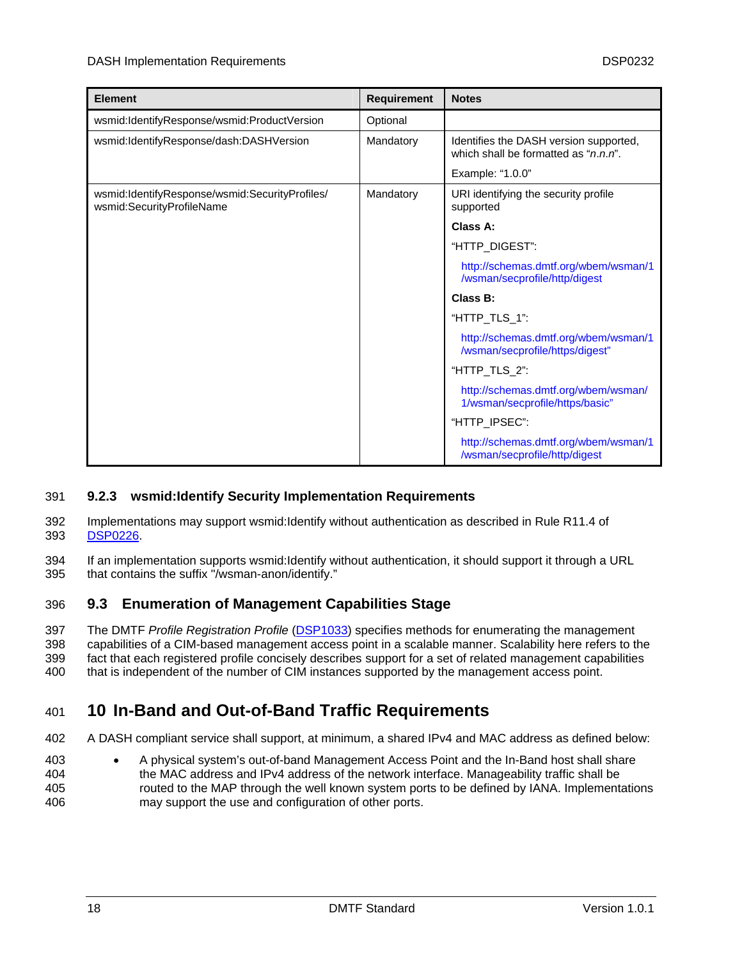<span id="page-17-0"></span>

| <b>Element</b>                                                              | <b>Requirement</b> | <b>Notes</b>                                                                            |
|-----------------------------------------------------------------------------|--------------------|-----------------------------------------------------------------------------------------|
| wsmid:IdentifyResponse/wsmid:ProductVersion                                 | Optional           |                                                                                         |
| wsmid:IdentifyResponse/dash:DASHVersion                                     | Mandatory          | Identifies the DASH version supported,<br>which shall be formatted as " <i>n.n.n</i> ". |
|                                                                             |                    | Example: "1.0.0"                                                                        |
| wsmid:IdentifyResponse/wsmid:SecurityProfiles/<br>wsmid:SecurityProfileName | Mandatory          | URI identifying the security profile<br>supported                                       |
|                                                                             |                    | Class A:                                                                                |
|                                                                             |                    | "HTTP_DIGEST":                                                                          |
|                                                                             |                    | http://schemas.dmtf.org/wbem/wsman/1<br>/wsman/secprofile/http/digest                   |
|                                                                             |                    | Class B:                                                                                |
|                                                                             |                    | "HTTP_TLS_1":                                                                           |
|                                                                             |                    | http://schemas.dmtf.org/wbem/wsman/1<br>/wsman/secprofile/https/digest"                 |
|                                                                             |                    | "HTTP_TLS_2":                                                                           |
|                                                                             |                    | http://schemas.dmtf.org/wbem/wsman/<br>1/wsman/secprofile/https/basic"                  |
|                                                                             |                    | "HTTP_IPSEC":                                                                           |
|                                                                             |                    | http://schemas.dmtf.org/wbem/wsman/1<br>/wsman/secprofile/http/digest                   |

### 391 **9.2.3 wsmid:Identify Security Implementation Requirements**

- 392 Implementations may support wsmid:Identify without authentication as described in Rule R11.4 of 393 [DSP0226.](#page-6-0)
- 394 395 If an implementation supports wsmid:Identify without authentication, it should support it through a URL that contains the suffix "/wsman-anon/identify."

### 396 **9.3 Enumeration of Management Capabilities Stage**

The DMTF *Profile Registration Profile* [\(DSP1033](#page-7-0)) specifies methods for enumerating the management capabilities of a CIM-based management access point in a scalable manner. Scalability here refers to the fact that each registered profile concisely describes support for a set of related management capabilities that is independent of the number of CIM instances supported by the management access point. 397 398 399 400

### <span id="page-17-1"></span>401 **10 In-Band and Out-of-Band Traffic Requirements**

402 A DASH compliant service shall support, at minimum, a shared IPv4 and MAC address as defined below:

403 404 405 406 • A physical system's out-of-band Management Access Point and the In-Band host shall share the MAC address and IPv4 address of the network interface. Manageability traffic shall be routed to the MAP through the well known system ports to be defined by IANA. Implementations may support the use and configuration of other ports.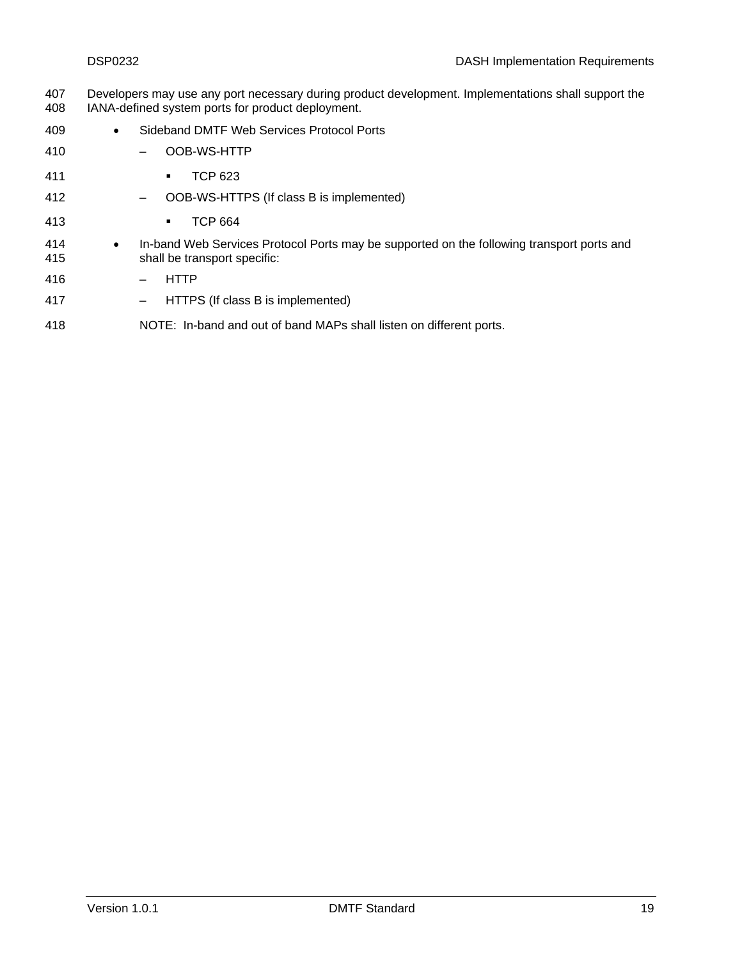- 407 408 Developers may use any port necessary during product development. Implementations shall support the IANA-defined system ports for product deployment.
- 409 • Sideband DMTF Web Services Protocol Ports
- 410 – OOB-WS-HTTP
- 411 **TCP 623**
- 412 – OOB-WS-HTTPS (If class B is implemented)
- 413 **TCP 664**
- 414 415 • In-band Web Services Protocol Ports may be supported on the following transport ports and shall be transport specific:
- 416 – HTTP
- 417 – HTTPS (If class B is implemented)
- 418 NOTE: In-band and out of band MAPs shall listen on different ports.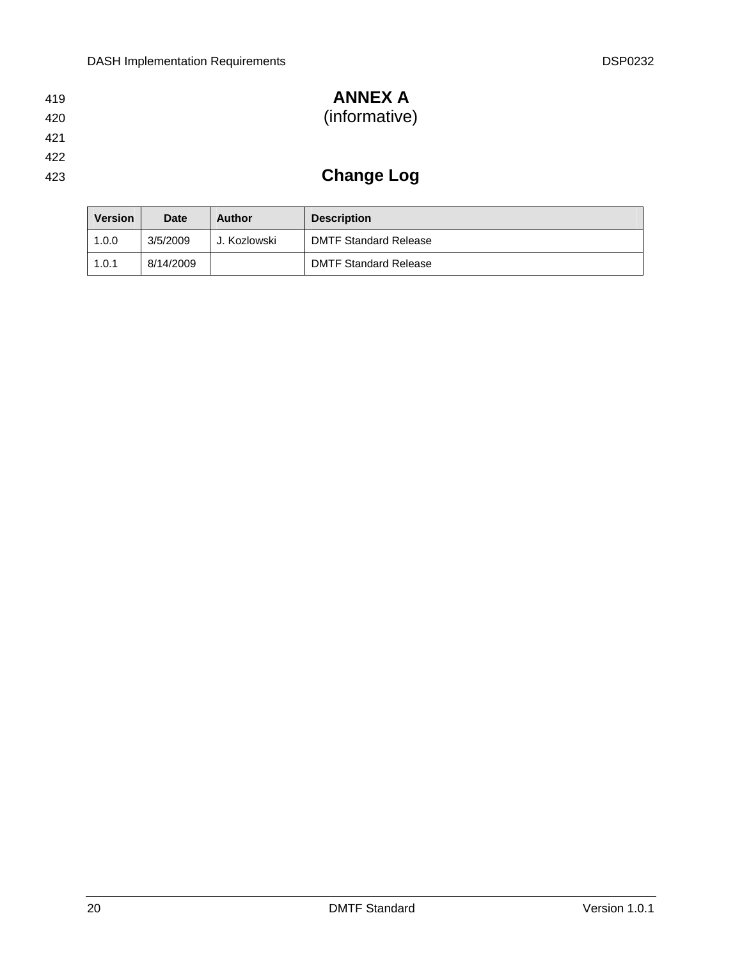### <span id="page-19-0"></span>**ANNEX A**  (informative) 419 420

421

422

423

# **Change Log**

| <b>Version</b> | <b>Date</b> | Author       | <b>Description</b>           |
|----------------|-------------|--------------|------------------------------|
| 1.0.0          | 3/5/2009    | J. Kozlowski | <b>DMTF Standard Release</b> |
| 1.0.1          | 8/14/2009   |              | <b>DMTF Standard Release</b> |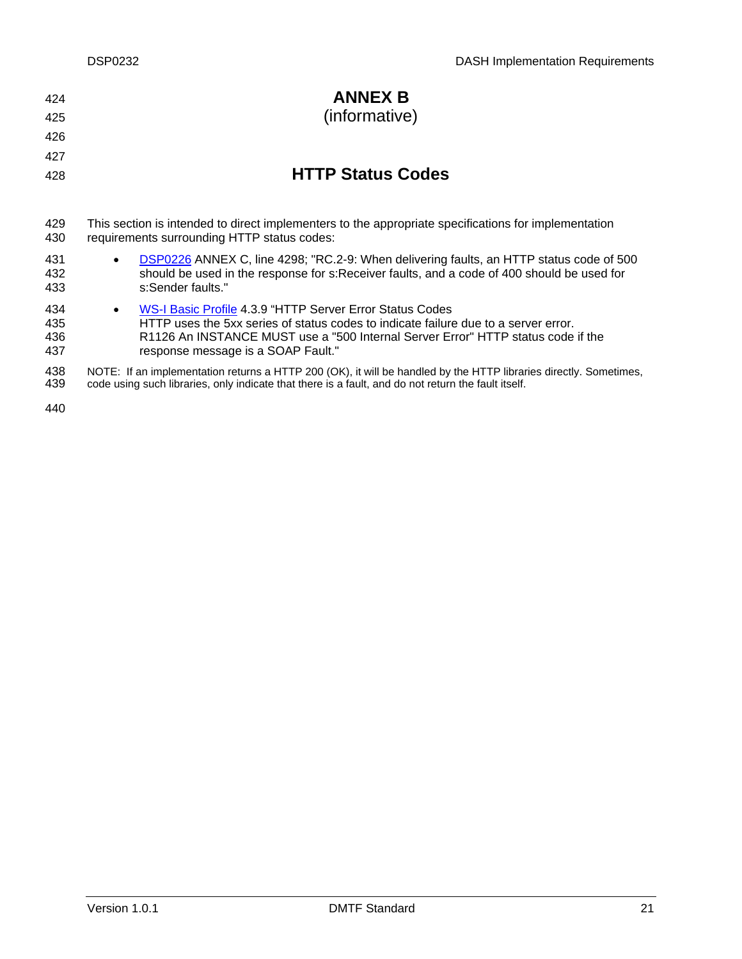<span id="page-20-0"></span>

| 424<br>425               | <b>ANNEX B</b><br>(informative)                                                                                                                                                                                                                                                        |
|--------------------------|----------------------------------------------------------------------------------------------------------------------------------------------------------------------------------------------------------------------------------------------------------------------------------------|
| 426                      |                                                                                                                                                                                                                                                                                        |
| 427                      |                                                                                                                                                                                                                                                                                        |
| 428                      | <b>HTTP Status Codes</b>                                                                                                                                                                                                                                                               |
|                          |                                                                                                                                                                                                                                                                                        |
| 429<br>430               | This section is intended to direct implementers to the appropriate specifications for implementation<br>requirements surrounding HTTP status codes:                                                                                                                                    |
| 431<br>432<br>433        | DSP0226 ANNEX C, line 4298; "RC.2-9: When delivering faults, an HTTP status code of 500<br>$\bullet$<br>should be used in the response for s: Receiver faults, and a code of 400 should be used for<br>s:Sender faults."                                                               |
| 434<br>435<br>436<br>437 | WS-I Basic Profile 4.3.9 "HTTP Server Error Status Codes<br>$\bullet$<br>HTTP uses the 5xx series of status codes to indicate failure due to a server error.<br>R1126 An INSTANCE MUST use a "500 Internal Server Error" HTTP status code if the<br>response message is a SOAP Fault." |
| 438                      | NOTE: If an implementation returns a HTTP 200 (OK), it will be handled by the HTTP libraries directly. Sometimes,                                                                                                                                                                      |

439 code using such libraries, only indicate that there is a fault, and do not return the fault itself.